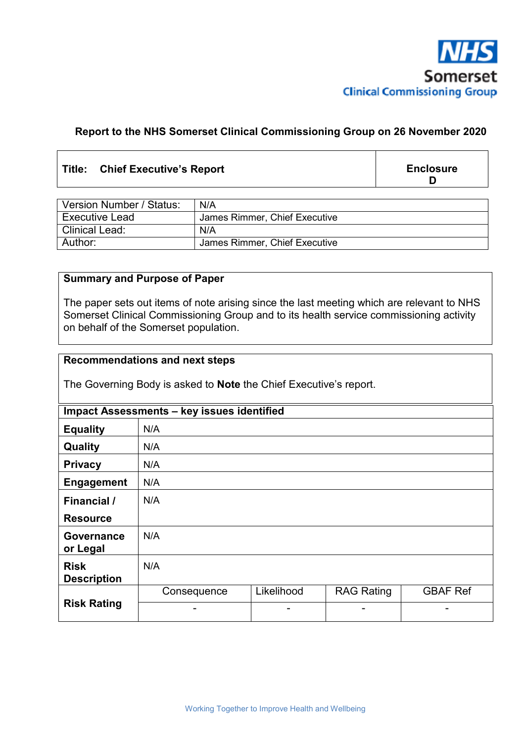

# **Report to the NHS Somerset Clinical Commissioning Group on 26 November 2020**

### **Title: Chief Executive's Report**

**Enclosure D** 

| Version Number / Status: | N/A                           |
|--------------------------|-------------------------------|
| <b>Executive Lead</b>    | James Rimmer, Chief Executive |
| <b>Clinical Lead:</b>    | N/A                           |
| Author:                  | James Rimmer, Chief Executive |

# **Summary and Purpose of Paper**

The paper sets out items of note arising since the last meeting which are relevant to NHS Somerset Clinical Commissioning Group and to its health service commissioning activity on behalf of the Somerset population.

### **Recommendations and next steps**

The Governing Body is asked to **Note** the Chief Executive's report.

| Impact Assessments - key issues identified |             |            |                   |                 |  |  |
|--------------------------------------------|-------------|------------|-------------------|-----------------|--|--|
| <b>Equality</b>                            | N/A         |            |                   |                 |  |  |
| Quality                                    | N/A         |            |                   |                 |  |  |
| <b>Privacy</b>                             | N/A         |            |                   |                 |  |  |
| <b>Engagement</b>                          | N/A         |            |                   |                 |  |  |
| <b>Financial</b> /                         | N/A         |            |                   |                 |  |  |
| <b>Resource</b>                            |             |            |                   |                 |  |  |
| Governance<br>or Legal                     | N/A         |            |                   |                 |  |  |
| <b>Risk</b><br><b>Description</b>          | N/A         |            |                   |                 |  |  |
| <b>Risk Rating</b>                         | Consequence | Likelihood | <b>RAG Rating</b> | <b>GBAF Ref</b> |  |  |
|                                            |             | -          |                   |                 |  |  |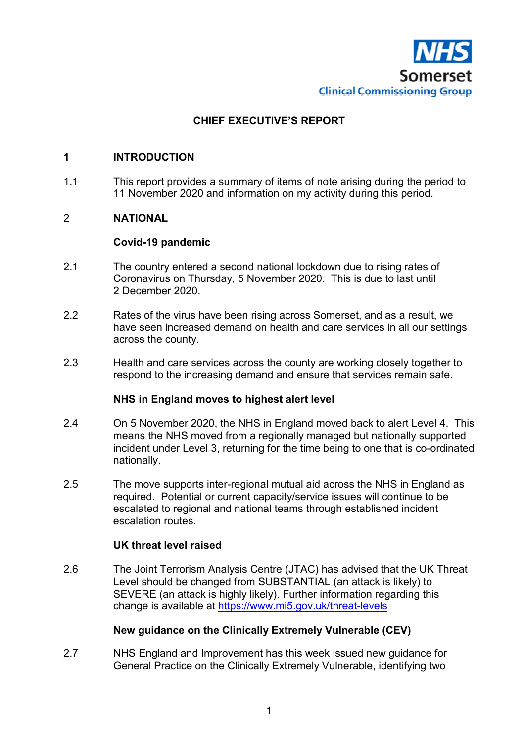

# **CHIEF EXECUTIVE'S REPORT**

### **1 INTRODUCTION**

1.1 This report provides a summary of items of note arising during the period to 11 November 2020 and information on my activity during this period.

# 2 **NATIONAL**

#### **Covid-19 pandemic**

- 2.1 The country entered a second national lockdown due to rising rates of Coronavirus on Thursday, 5 November 2020. This is due to last until 2 December 2020.
- 2.2 Rates of the virus have been rising across Somerset, and as a result, we have seen increased demand on health and care services in all our settings across the county.
- 2.3 Health and care services across the county are working closely together to respond to the increasing demand and ensure that services remain safe.

#### **NHS in England moves to highest alert level**

- 2.4 On 5 November 2020, the NHS in England moved back to alert Level 4.This means the NHS moved from a regionally managed but nationally supported incident under Level 3, returning for the time being to one that is co-ordinated nationally.
- 2.5 The move supports inter-regional mutual aid across the NHS in England as required. Potential or current capacity/service issues will continue to be escalated to regional and national teams through established incident escalation routes.

### **UK threat level raised**

2.6 The Joint Terrorism Analysis Centre (JTAC) has advised that the UK Threat Level should be changed from SUBSTANTIAL (an attack is likely) to SEVERE (an attack is highly likely). Further information regarding this change is available at https://www.mi5.gov.uk/threat-levels

### **New guidance on the Clinically Extremely Vulnerable (CEV)**

2.7 NHS England and Improvement has this week issued new guidance for General Practice on the Clinically Extremely Vulnerable, identifying two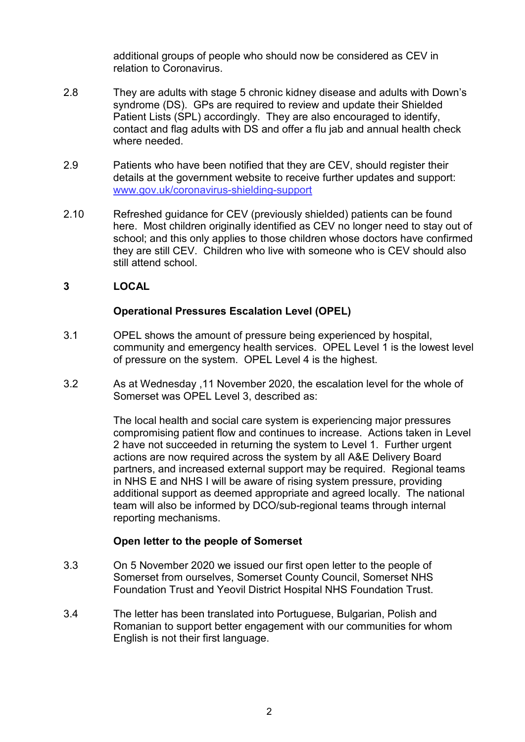additional groups of people who should now be considered as CEV in relation to Coronavirus.

- 2.8 They are adults with stage 5 chronic kidney disease and adults with Down's syndrome (DS). GPs are required to review and update their Shielded Patient Lists (SPL) accordingly. They are also encouraged to identify, contact and flag adults with DS and offer a flu jab and annual health check where needed.
- 2.9 Patients who have been notified that they are CEV, should register their details at the government website to receive further updates and support: www.gov.uk/coronavirus-shielding-support
- 2.10 Refreshed guidance for CEV (previously shielded) patients can be found here. Most children originally identified as CEV no longer need to stay out of school; and this only applies to those children whose doctors have confirmed they are still CEV. Children who live with someone who is CEV should also still attend school.

# **3 LOCAL**

# **Operational Pressures Escalation Level (OPEL)**

- 3.1 OPEL shows the amount of pressure being experienced by hospital, community and emergency health services. OPEL Level 1 is the lowest level of pressure on the system. OPEL Level 4 is the highest.
- 3.2 As at Wednesday ,11 November 2020, the escalation level for the whole of Somerset was OPEL Level 3, described as:

The local health and social care system is experiencing major pressures compromising patient flow and continues to increase. Actions taken in Level 2 have not succeeded in returning the system to Level 1. Further urgent actions are now required across the system by all A&E Delivery Board partners, and increased external support may be required. Regional teams in NHS E and NHS I will be aware of rising system pressure, providing additional support as deemed appropriate and agreed locally. The national team will also be informed by DCO/sub-regional teams through internal reporting mechanisms.

### **Open letter to the people of Somerset**

- 3.3 On 5 November 2020 we issued our first open letter to the people of Somerset from ourselves, Somerset County Council, Somerset NHS Foundation Trust and Yeovil District Hospital NHS Foundation Trust.
- 3.4 The letter has been translated into Portuguese, Bulgarian, Polish and Romanian to support better engagement with our communities for whom English is not their first language.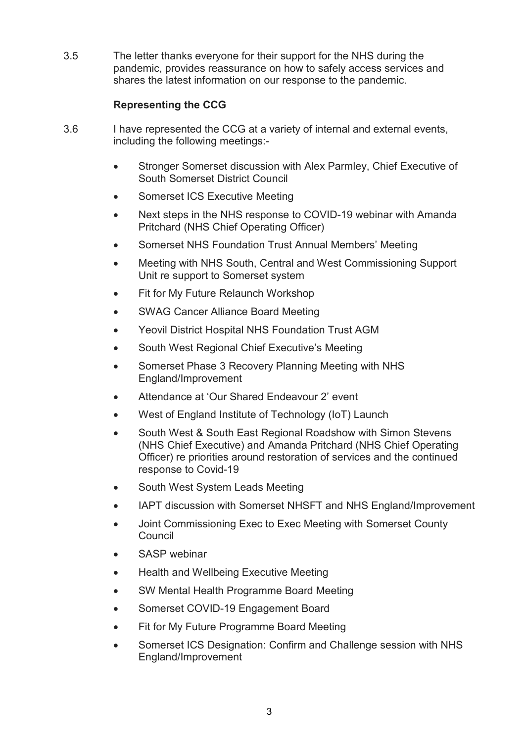3.5 The letter thanks everyone for their support for the NHS during the pandemic, provides reassurance on how to safely access services and shares the latest information on our response to the pandemic.

# **Representing the CCG**

- 3.6 I have represented the CCG at a variety of internal and external events, including the following meetings:-
	- Stronger Somerset discussion with Alex Parmley, Chief Executive of South Somerset District Council
	- Somerset ICS Executive Meeting
	- Next steps in the NHS response to COVID-19 webinar with Amanda Pritchard (NHS Chief Operating Officer)
	- Somerset NHS Foundation Trust Annual Members' Meeting
	- Meeting with NHS South, Central and West Commissioning Support Unit re support to Somerset system
	- Fit for My Future Relaunch Workshop
	- SWAG Cancer Alliance Board Meeting
	- Yeovil District Hospital NHS Foundation Trust AGM
	- South West Regional Chief Executive's Meeting
	- Somerset Phase 3 Recovery Planning Meeting with NHS England/Improvement
	- Attendance at 'Our Shared Endeavour 2' event
	- West of England Institute of Technology (IoT) Launch
	- South West & South East Regional Roadshow with Simon Stevens (NHS Chief Executive) and Amanda Pritchard (NHS Chief Operating Officer) re priorities around restoration of services and the continued response to Covid-19
	- South West System Leads Meeting
	- IAPT discussion with Somerset NHSFT and NHS England/Improvement
	- Joint Commissioning Exec to Exec Meeting with Somerset County **Council**
	- SASP webinar
	- Health and Wellbeing Executive Meeting
	- SW Mental Health Programme Board Meeting
	- Somerset COVID-19 Engagement Board
	- Fit for My Future Programme Board Meeting
	- Somerset ICS Designation: Confirm and Challenge session with NHS England/Improvement